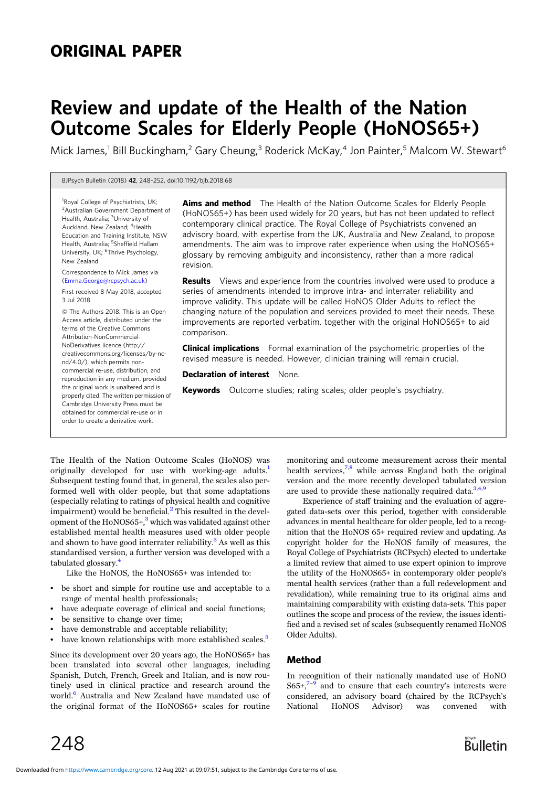# ORIGINAL PAPER

# Review and update of the Health of the Nation Outcome Scales for Elderly People (HoNOS65+)

Mick James,<sup>1</sup> Bill Buckingham,<sup>2</sup> Gary Cheung,<sup>3</sup> Roderick McKay,<sup>4</sup> Jon Painter,<sup>5</sup> Malcom W. Stewart<sup>6</sup>

#### BJPsych Bulletin (2018) 42, 248–252, doi:10.1192/bjb.2018.68

<sup>1</sup>Royal College of Psychiatrists, UK; <sup>2</sup> Australian Government Department of Health, Australia; <sup>3</sup>University of Auckland, New Zealand; <sup>4</sup>Health Education and Training Institute, NSW Health, Australia; <sup>5</sup>Sheffield Hallam University, UK; <sup>6</sup>Thrive Psychology, New Zealand

Correspondence to Mick James via [\(Emma.George@rcpsych.ac.uk\)](mailto:Emma.George@rcpsych.ac.uk)

First received 8 May 2018, accepted 3 Jul 2018

© The Authors 2018. This is an Open Access article, distributed under the terms of the Creative Commons Attribution-NonCommercial-NoDerivatives licence (http:// creativecommons.org/licenses/by-ncnd/4.0/), which permits noncommercial re-use, distribution, and reproduction in any medium, provided the original work is unaltered and is properly cited. The written permission of Cambridge University Press must be obtained for commercial re-use or in order to create a derivative work.

Aims and method The Health of the Nation Outcome Scales for Elderly People (HoNOS65+) has been used widely for 20 years, but has not been updated to reflect contemporary clinical practice. The Royal College of Psychiatrists convened an advisory board, with expertise from the UK, Australia and New Zealand, to propose amendments. The aim was to improve rater experience when using the HoNOS65+ glossary by removing ambiguity and inconsistency, rather than a more radical revision.

**Results** Views and experience from the countries involved were used to produce a series of amendments intended to improve intra- and interrater reliability and improve validity. This update will be called HoNOS Older Adults to reflect the changing nature of the population and services provided to meet their needs. These improvements are reported verbatim, together with the original HoNOS65+ to aid comparison.

**Clinical implications** Formal examination of the psychometric properties of the revised measure is needed. However, clinician training will remain crucial.

#### Declaration of interest None.

Keywords Outcome studies; rating scales; older people's psychiatry.

The Health of the Nation Outcome Scales (HoNOS) was originally developed for use with working-age adults.<sup>[1](#page-4-0)</sup> Subsequent testing found that, in general, the scales also performed well with older people, but that some adaptations (especially relating to ratings of physical health and cognitive impairment) would be beneficial. $<sup>2</sup>$  This resulted in the devel-</sup> opment of the HoNOS65+, $3$  which was validated against other established mental health measures used with older people and shown to have good interrater reliability. $3$  As well as this standardised version, a further version was developed with a tabulated glossary.<sup>[4](#page-4-0)</sup>

Like the HoNOS, the HoNOS65+ was intended to:

- be short and simple for routine use and acceptable to a range of mental health professionals;
- have adequate coverage of clinical and social functions;
- be sensitive to change over time;
- have demonstrable and acceptable reliability;
- have known relationships with more established scales.<sup>[5](#page-4-0)</sup>

Since its development over 20 years ago, the HoNOS65+ has been translated into several other languages, including Spanish, Dutch, French, Greek and Italian, and is now routinely used in clinical practice and research around the world.<sup>[6](#page-4-0)</sup> Australia and New Zealand have mandated use of the original format of the HoNOS65+ scales for routine

monitoring and outcome measurement across their mental health services, $7.8$  while across England both the original version and the more recently developed tabulated version are used to provide these nationally required data. $3,4,9$  $3,4,9$  $3,4,9$ 

Experience of staff training and the evaluation of aggregated data-sets over this period, together with considerable advances in mental healthcare for older people, led to a recognition that the HoNOS 65+ required review and updating. As copyright holder for the HoNOS family of measures, the Royal College of Psychiatrists (RCPsych) elected to undertake a limited review that aimed to use expert opinion to improve the utility of the HoNOS65+ in contemporary older people's mental health services (rather than a full redevelopment and revalidation), while remaining true to its original aims and maintaining comparability with existing data-sets. This paper outlines the scope and process of the review, the issues identified and a revised set of scales (subsequently renamed HoNOS Older Adults).

# Method

In recognition of their nationally mandated use of HoNO  $S65+<sup>7-9</sup>$  $S65+<sup>7-9</sup>$  $S65+<sup>7-9</sup>$  $S65+<sup>7-9</sup>$  $S65+<sup>7-9</sup>$  and to ensure that each country's interests were considered, an advisory board (chaired by the RCPsych's National HoNOS Advisor) was convened with

248

# **Bulletin**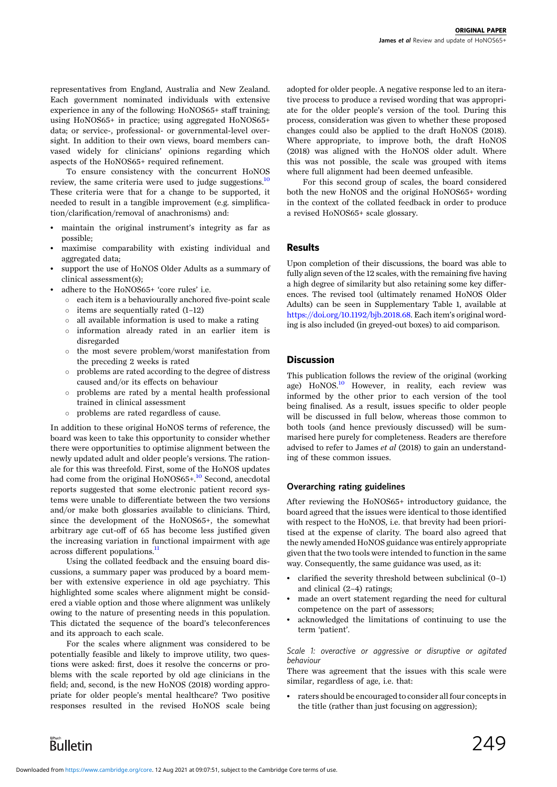representatives from England, Australia and New Zealand. Each government nominated individuals with extensive experience in any of the following: HoNOS65+ staff training; using HoNOS65+ in practice; using aggregated HoNOS65+ data; or service-, professional- or governmental-level oversight. In addition to their own views, board members canvased widely for clinicians' opinions regarding which aspects of the HoNOS65+ required refinement.

To ensure consistency with the concurrent HoNOS review, the same criteria were used to judge suggestions[.10](#page-4-0) These criteria were that for a change to be supported, it needed to result in a tangible improvement (e.g. simplification/clarification/removal of anachronisms) and:

- maintain the original instrument's integrity as far as possible;
- maximise comparability with existing individual and aggregated data;
- support the use of HoNOS Older Adults as a summary of clinical assessment(s);
- adhere to the HoNOS65+ 'core rules' i.e.
	- each item is a behaviourally anchored five-point scale<br>◦ items are sequentially rated  $(1-12)$
	- items are sequentially rated  $(1-12)$ <br>◦ all available information is used to
	- all available information is used to make a rating<br>◦ information already rated in an earlier item
	- information already rated in an earlier item is disregarded
	- the most severe problem/worst manifestation from the preceding 2 weeks is rated
	- problems are rated according to the degree of distress caused and/or its effects on behaviour
	- problems are rated by a mental health professional trained in clinical assessment
	- problems are rated regardless of cause.

In addition to these original HoNOS terms of reference, the board was keen to take this opportunity to consider whether there were opportunities to optimise alignment between the newly updated adult and older people's versions. The rationale for this was threefold. First, some of the HoNOS updates had come from the original HoNOS65+.<sup>10</sup> Second, anecdotal reports suggested that some electronic patient record systems were unable to differentiate between the two versions and/or make both glossaries available to clinicians. Third, since the development of the HoNOS65+, the somewhat arbitrary age cut-off of 65 has become less justified given the increasing variation in functional impairment with age across different populations. $<sup>1</sup>$ </sup>

Using the collated feedback and the ensuing board discussions, a summary paper was produced by a board member with extensive experience in old age psychiatry. This highlighted some scales where alignment might be considered a viable option and those where alignment was unlikely owing to the nature of presenting needs in this population. This dictated the sequence of the board's teleconferences and its approach to each scale.

For the scales where alignment was considered to be potentially feasible and likely to improve utility, two questions were asked: first, does it resolve the concerns or problems with the scale reported by old age clinicians in the field; and, second, is the new HoNOS (2018) wording appropriate for older people's mental healthcare? Two positive responses resulted in the revised HoNOS scale being adopted for older people. A negative response led to an iterative process to produce a revised wording that was appropriate for the older people's version of the tool. During this process, consideration was given to whether these proposed changes could also be applied to the draft HoNOS (2018). Where appropriate, to improve both, the draft HoNOS (2018) was aligned with the HoNOS older adult. Where this was not possible, the scale was grouped with items where full alignment had been deemed unfeasible.

For this second group of scales, the board considered both the new HoNOS and the original HoNOS65+ wording in the context of the collated feedback in order to produce a revised HoNOS65+ scale glossary.

### Results

Upon completion of their discussions, the board was able to fully align seven of the 12 scales, with the remaining five having a high degree of similarity but also retaining some key differences. The revised tool (ultimately renamed HoNOS Older Adults) can be seen in Supplementary Table 1, available at [https://doi.org/10.1192/bjb.2018.68.](https://doi.org/10.1192/bjb.2018.68) Each item's original wording is also included (in greyed-out boxes) to aid comparison.

## **Discussion**

This publication follows the review of the original (working age)  $HoNOS<sup>10</sup>$  $HoNOS<sup>10</sup>$  $HoNOS<sup>10</sup>$  However, in reality, each review was informed by the other prior to each version of the tool being finalised. As a result, issues specific to older people will be discussed in full below, whereas those common to both tools (and hence previously discussed) will be summarised here purely for completeness. Readers are therefore advised to refer to James et al (2018) to gain an understanding of these common issues.

#### Overarching rating guidelines

After reviewing the HoNOS65+ introductory guidance, the board agreed that the issues were identical to those identified with respect to the HoNOS, i.e. that brevity had been prioritised at the expense of clarity. The board also agreed that the newly amended HoNOS guidance was entirely appropriate given that the two tools were intended to function in the same way. Consequently, the same guidance was used, as it:

- clarified the severity threshold between subclinical (0–1) and clinical (2–4) ratings;
- made an overt statement regarding the need for cultural competence on the part of assessors;
- acknowledged the limitations of continuing to use the term 'patient'.

Scale 1: overactive or agaressive or disruptive or agitated behaviour

There was agreement that the issues with this scale were similar, regardless of age, i.e. that:

• raters should be encouraged to consider all four concepts in the title (rather than just focusing on aggression);

Bulletin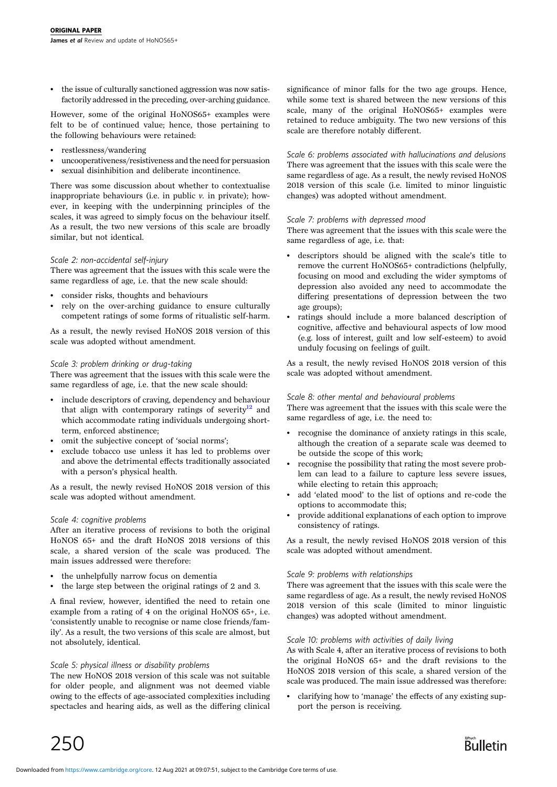• the issue of culturally sanctioned aggression was now satisfactorily addressed in the preceding, over-arching guidance.

However, some of the original HoNOS65+ examples were felt to be of continued value; hence, those pertaining to the following behaviours were retained:

- restlessness/wandering
- uncooperativeness/resistiveness and the need for persuasion
- sexual disinhibition and deliberate incontinence.

There was some discussion about whether to contextualise inappropriate behaviours (i.e. in public v. in private); however, in keeping with the underpinning principles of the scales, it was agreed to simply focus on the behaviour itself. As a result, the two new versions of this scale are broadly similar, but not identical.

#### Scale 2: non-accidental self-injury

There was agreement that the issues with this scale were the same regardless of age, i.e. that the new scale should:

- consider risks, thoughts and behaviours
- rely on the over-arching guidance to ensure culturally competent ratings of some forms of ritualistic self-harm.

As a result, the newly revised HoNOS 2018 version of this scale was adopted without amendment.

#### Scale 3: problem drinking or drug-taking

There was agreement that the issues with this scale were the same regardless of age, i.e. that the new scale should:

- include descriptors of craving, dependency and behaviour that align with contemporary ratings of severity $12$  and which accommodate rating individuals undergoing shortterm, enforced abstinence;
- omit the subjective concept of 'social norms';
- exclude tobacco use unless it has led to problems over and above the detrimental effects traditionally associated with a person's physical health.

As a result, the newly revised HoNOS 2018 version of this scale was adopted without amendment.

#### Scale 4: cognitive problems

After an iterative process of revisions to both the original HoNOS 65+ and the draft HoNOS 2018 versions of this scale, a shared version of the scale was produced. The main issues addressed were therefore:

- the unhelpfully narrow focus on dementia
- the large step between the original ratings of 2 and 3.

A final review, however, identified the need to retain one example from a rating of 4 on the original HoNOS 65+, i.e. 'consistently unable to recognise or name close friends/family'. As a result, the two versions of this scale are almost, but not absolutely, identical.

#### Scale 5: physical illness or disability problems

The new HoNOS 2018 version of this scale was not suitable for older people, and alignment was not deemed viable owing to the effects of age-associated complexities including spectacles and hearing aids, as well as the differing clinical

significance of minor falls for the two age groups. Hence, while some text is shared between the new versions of this scale, many of the original HoNOS65+ examples were retained to reduce ambiguity. The two new versions of this scale are therefore notably different.

Scale 6: problems associated with hallucinations and delusions There was agreement that the issues with this scale were the same regardless of age. As a result, the newly revised HoNOS 2018 version of this scale (i.e. limited to minor linguistic changes) was adopted without amendment.

#### Scale 7: problems with depressed mood

There was agreement that the issues with this scale were the same regardless of age, i.e. that:

- descriptors should be aligned with the scale's title to remove the current HoNOS65+ contradictions (helpfully, focusing on mood and excluding the wider symptoms of depression also avoided any need to accommodate the differing presentations of depression between the two age groups);
- ratings should include a more balanced description of cognitive, affective and behavioural aspects of low mood (e.g. loss of interest, guilt and low self-esteem) to avoid unduly focusing on feelings of guilt.

As a result, the newly revised HoNOS 2018 version of this scale was adopted without amendment.

#### Scale 8: other mental and behavioural problems

There was agreement that the issues with this scale were the same regardless of age, i.e. the need to:

- recognise the dominance of anxiety ratings in this scale, although the creation of a separate scale was deemed to be outside the scope of this work;
- recognise the possibility that rating the most severe problem can lead to a failure to capture less severe issues, while electing to retain this approach;
- add 'elated mood' to the list of options and re-code the options to accommodate this;
- provide additional explanations of each option to improve consistency of ratings.

As a result, the newly revised HoNOS 2018 version of this scale was adopted without amendment.

#### Scale 9: problems with relationships

There was agreement that the issues with this scale were the same regardless of age. As a result, the newly revised HoNOS 2018 version of this scale (limited to minor linguistic changes) was adopted without amendment.

#### Scale 10: problems with activities of daily living

As with Scale 4, after an iterative process of revisions to both the original HoNOS 65+ and the draft revisions to the HoNOS 2018 version of this scale, a shared version of the scale was produced. The main issue addressed was therefore:

• clarifying how to 'manage' the effects of any existing support the person is receiving.

250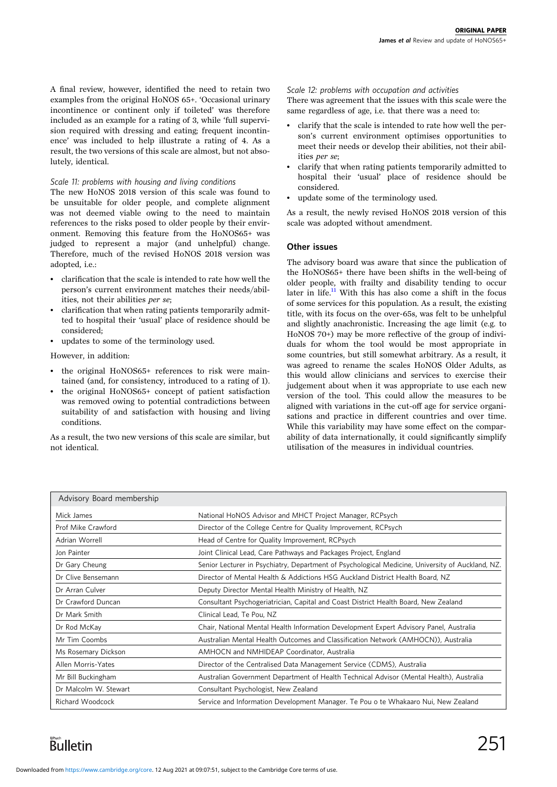A final review, however, identified the need to retain two examples from the original HoNOS 65+. 'Occasional urinary incontinence or continent only if toileted' was therefore included as an example for a rating of 3, while 'full supervision required with dressing and eating; frequent incontinence' was included to help illustrate a rating of 4. As a result, the two versions of this scale are almost, but not absolutely, identical.

#### Scale 11: problems with housing and living conditions

The new HoNOS 2018 version of this scale was found to be unsuitable for older people, and complete alignment was not deemed viable owing to the need to maintain references to the risks posed to older people by their environment. Removing this feature from the HoNOS65+ was judged to represent a major (and unhelpful) change. Therefore, much of the revised HoNOS 2018 version was adopted, i.e.:

- clarification that the scale is intended to rate how well the person's current environment matches their needs/abilities, not their abilities per se;
- clarification that when rating patients temporarily admitted to hospital their 'usual' place of residence should be considered;
- updates to some of the terminology used.

#### However, in addition:

- the original HoNOS65+ references to risk were maintained (and, for consistency, introduced to a rating of 1).
- the original HoNOS65+ concept of patient satisfaction was removed owing to potential contradictions between suitability of and satisfaction with housing and living conditions.

As a result, the two new versions of this scale are similar, but not identical.

Scale 12: problems with occupation and activities

There was agreement that the issues with this scale were the same regardless of age, i.e. that there was a need to:

- clarify that the scale is intended to rate how well the person's current environment optimises opportunities to meet their needs or develop their abilities, not their abilities per se;
- clarify that when rating patients temporarily admitted to hospital their 'usual' place of residence should be considered.
- update some of the terminology used.

As a result, the newly revised HoNOS 2018 version of this scale was adopted without amendment.

#### Other issues

The advisory board was aware that since the publication of the HoNOS65+ there have been shifts in the well-being of older people, with frailty and disability tending to occur later in life.<sup>11</sup> With this has also come a shift in the focus of some services for this population. As a result, the existing title, with its focus on the over-65s, was felt to be unhelpful and slightly anachronistic. Increasing the age limit (e.g. to HoNOS 70+) may be more reflective of the group of individuals for whom the tool would be most appropriate in some countries, but still somewhat arbitrary. As a result, it was agreed to rename the scales HoNOS Older Adults, as this would allow clinicians and services to exercise their judgement about when it was appropriate to use each new version of the tool. This could allow the measures to be aligned with variations in the cut-off age for service organisations and practice in different countries and over time. While this variability may have some effect on the comparability of data internationally, it could significantly simplify utilisation of the measures in individual countries.

| Advisory Board membership |                                                                                                  |
|---------------------------|--------------------------------------------------------------------------------------------------|
| Mick James                | National HoNOS Advisor and MHCT Project Manager, RCPsych                                         |
| Prof Mike Crawford        | Director of the College Centre for Quality Improvement, RCPsych                                  |
| Adrian Worrell            | Head of Centre for Quality Improvement, RCPsych                                                  |
| Jon Painter               | Joint Clinical Lead, Care Pathways and Packages Project, England                                 |
| Dr Gary Cheung            | Senior Lecturer in Psychiatry, Department of Psychological Medicine, University of Auckland, NZ. |
| Dr Clive Bensemann        | Director of Mental Health & Addictions HSG Auckland District Health Board, NZ                    |
| Dr Arran Culver           | Deputy Director Mental Health Ministry of Health, NZ                                             |
| Dr Crawford Duncan        | Consultant Psychogeriatrician, Capital and Coast District Health Board, New Zealand              |
| Dr Mark Smith             | Clinical Lead, Te Pou, NZ                                                                        |
| Dr Rod McKay              | Chair, National Mental Health Information Development Expert Advisory Panel, Australia           |
| Mr Tim Coombs             | Australian Mental Health Outcomes and Classification Network (AMHOCN)), Australia                |
| Ms Rosemary Dickson       | AMHOCN and NMHIDEAP Coordinator, Australia                                                       |
| Allen Morris-Yates        | Director of the Centralised Data Management Service (CDMS), Australia                            |
| Mr Bill Buckingham        | Australian Government Department of Health Technical Advisor (Mental Health), Australia          |
| Dr Malcolm W. Stewart     | Consultant Psychologist, New Zealand                                                             |
| Richard Woodcock          | Service and Information Development Manager. Te Pou o te Whakaaro Nui, New Zealand               |

# **Bulletin**